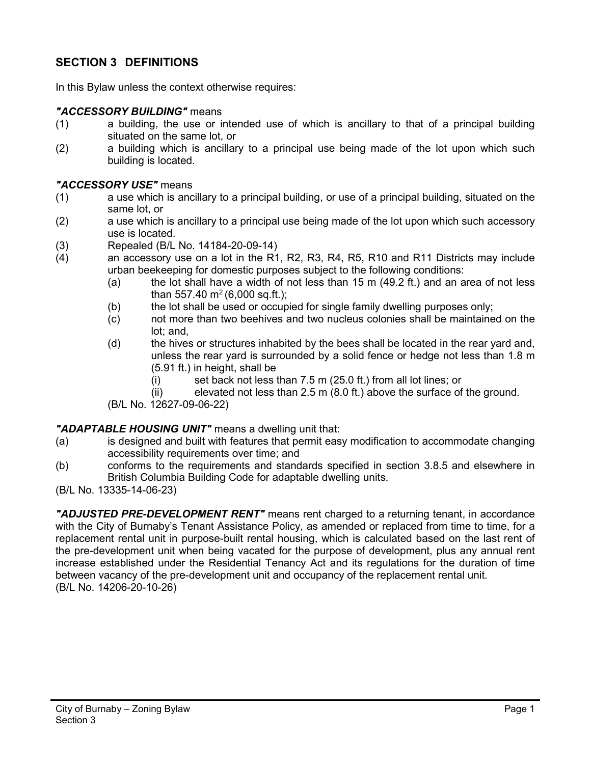# **SECTION 3 DEFINITIONS**

In this Bylaw unless the context otherwise requires:

#### *"ACCESSORY BUILDING"* means

- (1) a building, the use or intended use of which is ancillary to that of a principal building situated on the same lot, or
- (2) a building which is ancillary to a principal use being made of the lot upon which such building is located.

### *"ACCESSORY USE"* means

- (1) a use which is ancillary to a principal building, or use of a principal building, situated on the same lot, or
- (2) a use which is ancillary to a principal use being made of the lot upon which such accessory use is located.
- (3) Repealed (B/L No. 14184-20-09-14)
- (4) an accessory use on a lot in the R1, R2, R3, R4, R5, R10 and R11 Districts may include urban beekeeping for domestic purposes subject to the following conditions:
	- (a) the lot shall have a width of not less than  $15 \text{ m}$  (49.2 ft.) and an area of not less than 557.40  $m^2$  (6,000 sq.ft.);
	- (b) the lot shall be used or occupied for single family dwelling purposes only;
	- (c) not more than two beehives and two nucleus colonies shall be maintained on the lot; and,
	- (d) the hives or structures inhabited by the bees shall be located in the rear yard and, unless the rear yard is surrounded by a solid fence or hedge not less than 1.8 m (5.91 ft.) in height, shall be
		- (i) set back not less than 7.5 m (25.0 ft.) from all lot lines; or
		- (ii) elevated not less than 2.5 m (8.0 ft.) above the surface of the ground.

(B/L No. 12627-09-06-22)

### *"ADAPTABLE HOUSING UNIT"* means a dwelling unit that:

- (a) is designed and built with features that permit easy modification to accommodate changing accessibility requirements over time; and
- (b) conforms to the requirements and standards specified in section 3.8.5 and elsewhere in British Columbia Building Code for adaptable dwelling units.
- (B/L No. 13335-14-06-23)

*"ADJUSTED PRE-DEVELOPMENT RENT"* means rent charged to a returning tenant, in accordance with the City of Burnaby's Tenant Assistance Policy, as amended or replaced from time to time, for a replacement rental unit in purpose-built rental housing, which is calculated based on the last rent of the pre-development unit when being vacated for the purpose of development, plus any annual rent increase established under the Residential Tenancy Act and its regulations for the duration of time between vacancy of the pre-development unit and occupancy of the replacement rental unit. (B/L No. 14206-20-10-26)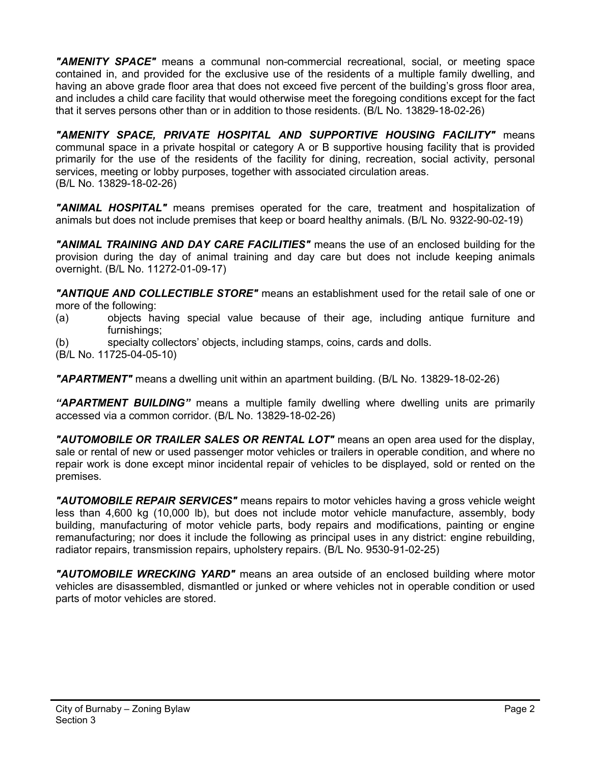*"AMENITY SPACE"* means a communal non-commercial recreational, social, or meeting space contained in, and provided for the exclusive use of the residents of a multiple family dwelling, and having an above grade floor area that does not exceed five percent of the building's gross floor area, and includes a child care facility that would otherwise meet the foregoing conditions except for the fact that it serves persons other than or in addition to those residents. (B/L No. 13829-18-02-26)

*"AMENITY SPACE, PRIVATE HOSPITAL AND SUPPORTIVE HOUSING FACILITY"* means communal space in a private hospital or category A or B supportive housing facility that is provided primarily for the use of the residents of the facility for dining, recreation, social activity, personal services, meeting or lobby purposes, together with associated circulation areas. (B/L No. 13829-18-02-26)

*"ANIMAL HOSPITAL"* means premises operated for the care, treatment and hospitalization of animals but does not include premises that keep or board healthy animals. (B/L No. 9322-90-02-19)

*"ANIMAL TRAINING AND DAY CARE FACILITIES"* means the use of an enclosed building for the provision during the day of animal training and day care but does not include keeping animals overnight. (B/L No. 11272-01-09-17)

*"ANTIQUE AND COLLECTIBLE STORE"* means an establishment used for the retail sale of one or more of the following:

- (a) objects having special value because of their age, including antique furniture and furnishings;
- (b) specialty collectors' objects, including stamps, coins, cards and dolls.
- (B/L No. 11725-04-05-10)

*"APARTMENT"* means a dwelling unit within an apartment building. (B/L No. 13829-18-02-26)

*"APARTMENT BUILDING"* means a multiple family dwelling where dwelling units are primarily accessed via a common corridor. (B/L No. 13829-18-02-26)

*"AUTOMOBILE OR TRAILER SALES OR RENTAL LOT"* means an open area used for the display, sale or rental of new or used passenger motor vehicles or trailers in operable condition, and where no repair work is done except minor incidental repair of vehicles to be displayed, sold or rented on the premises.

*"AUTOMOBILE REPAIR SERVICES"* means repairs to motor vehicles having a gross vehicle weight less than 4,600 kg (10,000 lb), but does not include motor vehicle manufacture, assembly, body building, manufacturing of motor vehicle parts, body repairs and modifications, painting or engine remanufacturing; nor does it include the following as principal uses in any district: engine rebuilding, radiator repairs, transmission repairs, upholstery repairs. (B/L No. 9530-91-02-25)

*"AUTOMOBILE WRECKING YARD"* means an area outside of an enclosed building where motor vehicles are disassembled, dismantled or junked or where vehicles not in operable condition or used parts of motor vehicles are stored.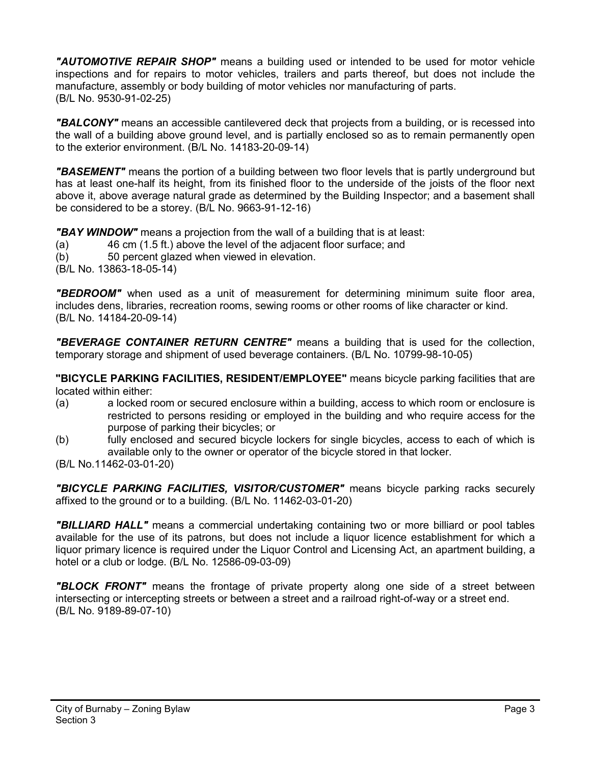*"AUTOMOTIVE REPAIR SHOP"* means a building used or intended to be used for motor vehicle inspections and for repairs to motor vehicles, trailers and parts thereof, but does not include the manufacture, assembly or body building of motor vehicles nor manufacturing of parts. (B/L No. 9530-91-02-25)

*"BALCONY"* means an accessible cantilevered deck that projects from a building, or is recessed into the wall of a building above ground level, and is partially enclosed so as to remain permanently open to the exterior environment. (B/L No. 14183-20-09-14)

*"BASEMENT"* means the portion of a building between two floor levels that is partly underground but has at least one-half its height, from its finished floor to the underside of the joists of the floor next above it, above average natural grade as determined by the Building Inspector; and a basement shall be considered to be a storey. (B/L No. 9663-91-12-16)

*"BAY WINDOW"* means a projection from the wall of a building that is at least:

- (a) 46 cm (1.5 ft.) above the level of the adjacent floor surface; and
- (b) 50 percent glazed when viewed in elevation.
- (B/L No. 13863-18-05-14)

*"BEDROOM"* when used as a unit of measurement for determining minimum suite floor area, includes dens, libraries, recreation rooms, sewing rooms or other rooms of like character or kind. (B/L No. 14184-20-09-14)

*"BEVERAGE CONTAINER RETURN CENTRE"* means a building that is used for the collection, temporary storage and shipment of used beverage containers. (B/L No. 10799-98-10-05)

**"BICYCLE PARKING FACILITIES, RESIDENT/EMPLOYEE"** means bicycle parking facilities that are located within either:

- (a) a locked room or secured enclosure within a building, access to which room or enclosure is restricted to persons residing or employed in the building and who require access for the purpose of parking their bicycles; or
- (b) fully enclosed and secured bicycle lockers for single bicycles, access to each of which is available only to the owner or operator of the bicycle stored in that locker.
- (B/L No.11462-03-01-20)

*"BICYCLE PARKING FACILITIES, VISITOR/CUSTOMER"* means bicycle parking racks securely affixed to the ground or to a building. (B/L No. 11462-03-01-20)

*"BILLIARD HALL"* means a commercial undertaking containing two or more billiard or pool tables available for the use of its patrons, but does not include a liquor licence establishment for which a liquor primary licence is required under the Liquor Control and Licensing Act, an apartment building, a hotel or a club or lodge. (B/L No. 12586-09-03-09)

*"BLOCK FRONT"* means the frontage of private property along one side of a street between intersecting or intercepting streets or between a street and a railroad right-of-way or a street end. (B/L No. 9189-89-07-10)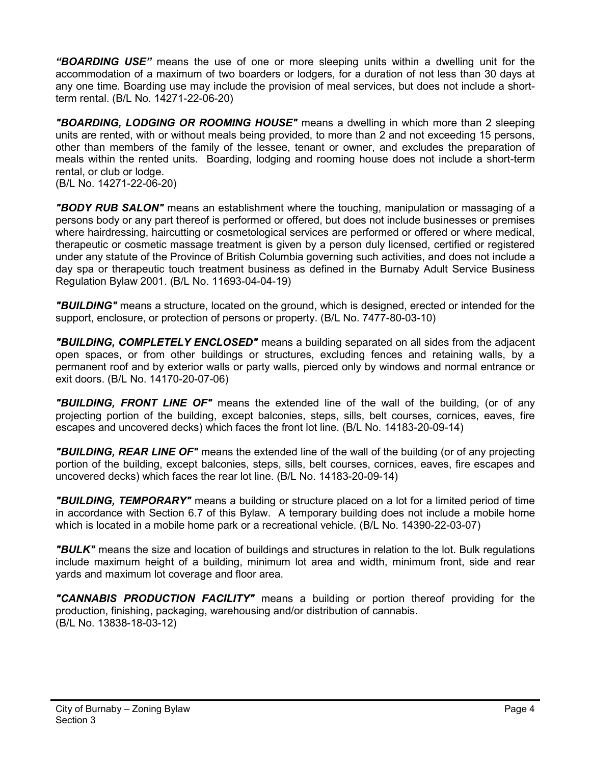*"BOARDING USE"* means the use of one or more sleeping units within a dwelling unit for the accommodation of a maximum of two boarders or lodgers, for a duration of not less than 30 days at any one time. Boarding use may include the provision of meal services, but does not include a shortterm rental. (B/L No. 14271-22-06-20)

*"BOARDING, LODGING OR ROOMING HOUSE"* means a dwelling in which more than 2 sleeping units are rented, with or without meals being provided, to more than 2 and not exceeding 15 persons, other than members of the family of the lessee, tenant or owner, and excludes the preparation of meals within the rented units. Boarding, lodging and rooming house does not include a short-term rental, or club or lodge.

(B/L No. 14271-22-06-20)

*"BODY RUB SALON"* means an establishment where the touching, manipulation or massaging of a persons body or any part thereof is performed or offered, but does not include businesses or premises where hairdressing, haircutting or cosmetological services are performed or offered or where medical, therapeutic or cosmetic massage treatment is given by a person duly licensed, certified or registered under any statute of the Province of British Columbia governing such activities, and does not include a day spa or therapeutic touch treatment business as defined in the Burnaby Adult Service Business Regulation Bylaw 2001. (B/L No. 11693-04-04-19)

*"BUILDING"* means a structure, located on the ground, which is designed, erected or intended for the support, enclosure, or protection of persons or property. (B/L No. 7477-80-03-10)

*"BUILDING, COMPLETELY ENCLOSED"* means a building separated on all sides from the adjacent open spaces, or from other buildings or structures, excluding fences and retaining walls, by a permanent roof and by exterior walls or party walls, pierced only by windows and normal entrance or exit doors. (B/L No. 14170-20-07-06)

*"BUILDING, FRONT LINE OF"* means the extended line of the wall of the building, (or of any projecting portion of the building, except balconies, steps, sills, belt courses, cornices, eaves, fire escapes and uncovered decks) which faces the front lot line. (B/L No. 14183-20-09-14)

*"BUILDING, REAR LINE OF"* means the extended line of the wall of the building (or of any projecting portion of the building, except balconies, steps, sills, belt courses, cornices, eaves, fire escapes and uncovered decks) which faces the rear lot line. (B/L No. 14183-20-09-14)

*"BUILDING, TEMPORARY"* means a building or structure placed on a lot for a limited period of time in accordance with Section 6.7 of this Bylaw. A temporary building does not include a mobile home which is located in a mobile home park or a recreational vehicle. (B/L No. 14390-22-03-07)

*"BULK"* means the size and location of buildings and structures in relation to the lot. Bulk regulations include maximum height of a building, minimum lot area and width, minimum front, side and rear yards and maximum lot coverage and floor area.

*"CANNABIS PRODUCTION FACILITY"* means a building or portion thereof providing for the production, finishing, packaging, warehousing and/or distribution of cannabis. (B/L No. 13838-18-03-12)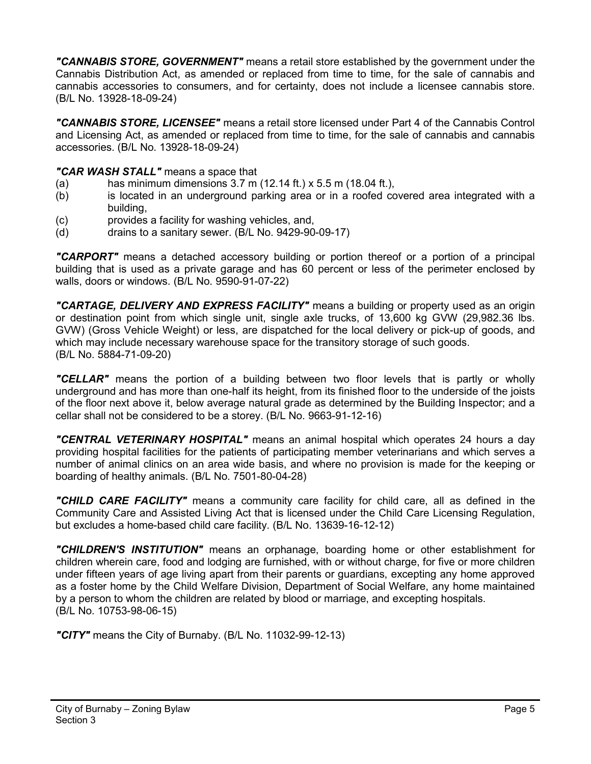*"CANNABIS STORE, GOVERNMENT"* means a retail store established by the government under the Cannabis Distribution Act, as amended or replaced from time to time, for the sale of cannabis and cannabis accessories to consumers, and for certainty, does not include a licensee cannabis store. (B/L No. 13928-18-09-24)

*"CANNABIS STORE, LICENSEE"* means a retail store licensed under Part 4 of the Cannabis Control and Licensing Act, as amended or replaced from time to time, for the sale of cannabis and cannabis accessories. (B/L No. 13928-18-09-24)

# *"CAR WASH STALL"* means a space that

- (a) has minimum dimensions 3.7 m (12.14 ft.) x 5.5 m (18.04 ft.),
- (b) is located in an underground parking area or in a roofed covered area integrated with a building,
- (c) provides a facility for washing vehicles, and,
- (d) drains to a sanitary sewer.  $(B/L$  No.  $9429-90-09-17)$

*"CARPORT"* means a detached accessory building or portion thereof or a portion of a principal building that is used as a private garage and has 60 percent or less of the perimeter enclosed by walls, doors or windows. (B/L No. 9590-91-07-22)

*"CARTAGE, DELIVERY AND EXPRESS FACILITY"* means a building or property used as an origin or destination point from which single unit, single axle trucks, of 13,600 kg GVW (29,982.36 lbs. GVW) (Gross Vehicle Weight) or less, are dispatched for the local delivery or pick-up of goods, and which may include necessary warehouse space for the transitory storage of such goods. (B/L No. 5884-71-09-20)

*"CELLAR"* means the portion of a building between two floor levels that is partly or wholly underground and has more than one-half its height, from its finished floor to the underside of the joists of the floor next above it, below average natural grade as determined by the Building Inspector; and a cellar shall not be considered to be a storey. (B/L No. 9663-91-12-16)

*"CENTRAL VETERINARY HOSPITAL"* means an animal hospital which operates 24 hours a day providing hospital facilities for the patients of participating member veterinarians and which serves a number of animal clinics on an area wide basis, and where no provision is made for the keeping or boarding of healthy animals. (B/L No. 7501-80-04-28)

*"CHILD CARE FACILITY"* means a community care facility for child care, all as defined in the Community Care and Assisted Living Act that is licensed under the Child Care Licensing Regulation, but excludes a home-based child care facility. (B/L No. 13639-16-12-12)

*"CHILDREN'S INSTITUTION"* means an orphanage, boarding home or other establishment for children wherein care, food and lodging are furnished, with or without charge, for five or more children under fifteen years of age living apart from their parents or guardians, excepting any home approved as a foster home by the Child Welfare Division, Department of Social Welfare, any home maintained by a person to whom the children are related by blood or marriage, and excepting hospitals. (B/L No. 10753-98-06-15)

*"CITY"* means the City of Burnaby. (B/L No. 11032-99-12-13)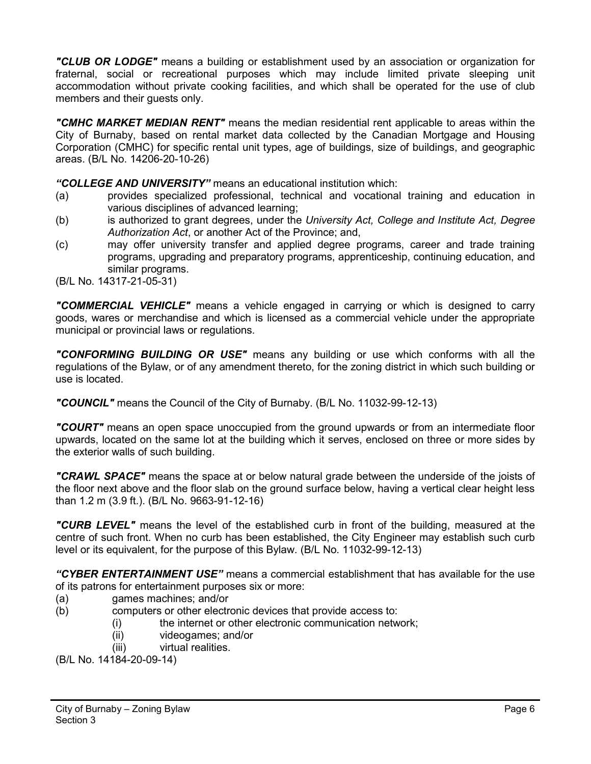*"CLUB OR LODGE"* means a building or establishment used by an association or organization for fraternal, social or recreational purposes which may include limited private sleeping unit accommodation without private cooking facilities, and which shall be operated for the use of club members and their guests only.

*"CMHC MARKET MEDIAN RENT"* means the median residential rent applicable to areas within the City of Burnaby, based on rental market data collected by the Canadian Mortgage and Housing Corporation (CMHC) for specific rental unit types, age of buildings, size of buildings, and geographic areas. (B/L No. 14206-20-10-26)

*"COLLEGE AND UNIVERSITY"* means an educational institution which:

- (a) provides specialized professional, technical and vocational training and education in various disciplines of advanced learning;
- (b) is authorized to grant degrees, under the *University Act, College and Institute Act, Degree Authorization Act*, or another Act of the Province; and,
- (c) may offer university transfer and applied degree programs, career and trade training programs, upgrading and preparatory programs, apprenticeship, continuing education, and similar programs.
- (B/L No. 14317-21-05-31)

*"COMMERCIAL VEHICLE"* means a vehicle engaged in carrying or which is designed to carry goods, wares or merchandise and which is licensed as a commercial vehicle under the appropriate municipal or provincial laws or regulations.

*"CONFORMING BUILDING OR USE"* means any building or use which conforms with all the regulations of the Bylaw, or of any amendment thereto, for the zoning district in which such building or use is located.

*"COUNCIL"* means the Council of the City of Burnaby. (B/L No. 11032-99-12-13)

*"COURT"* means an open space unoccupied from the ground upwards or from an intermediate floor upwards, located on the same lot at the building which it serves, enclosed on three or more sides by the exterior walls of such building.

*"CRAWL SPACE"* means the space at or below natural grade between the underside of the joists of the floor next above and the floor slab on the ground surface below, having a vertical clear height less than 1.2 m (3.9 ft.). (B/L No. 9663-91-12-16)

*"CURB LEVEL"* means the level of the established curb in front of the building, measured at the centre of such front. When no curb has been established, the City Engineer may establish such curb level or its equivalent, for the purpose of this Bylaw. (B/L No. 11032-99-12-13)

*"CYBER ENTERTAINMENT USE"* means a commercial establishment that has available for the use of its patrons for entertainment purposes six or more:

- (a) games machines; and/or
- (b) computers or other electronic devices that provide access to:
	- (i) the internet or other electronic communication network;
	- (ii) videogames; and/or
	- (iii) virtual realities.

(B/L No. 14184-20-09-14)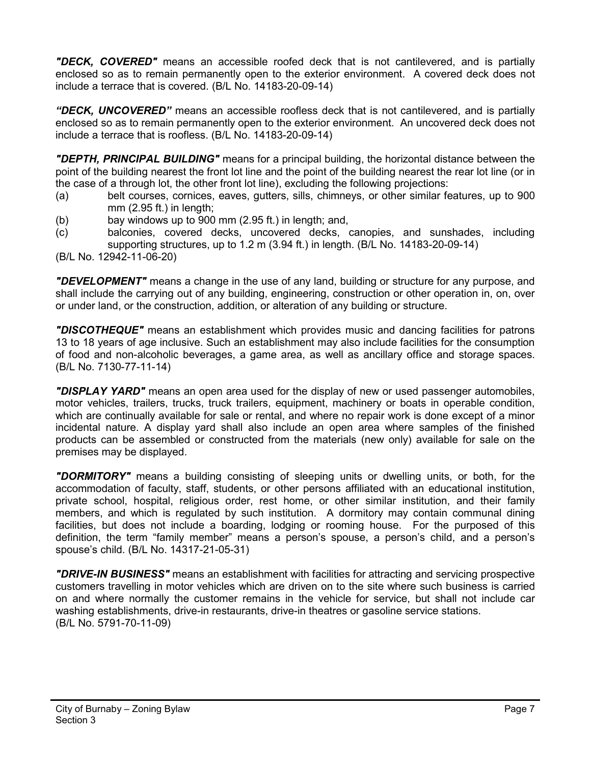*"DECK, COVERED"* means an accessible roofed deck that is not cantilevered, and is partially enclosed so as to remain permanently open to the exterior environment. A covered deck does not include a terrace that is covered. (B/L No. 14183-20-09-14)

*"DECK, UNCOVERED"* means an accessible roofless deck that is not cantilevered, and is partially enclosed so as to remain permanently open to the exterior environment. An uncovered deck does not include a terrace that is roofless. (B/L No. 14183-20-09-14)

*"DEPTH, PRINCIPAL BUILDING"* means for a principal building, the horizontal distance between the point of the building nearest the front lot line and the point of the building nearest the rear lot line (or in the case of a through lot, the other front lot line), excluding the following projections:

- (a) belt courses, cornices, eaves, gutters, sills, chimneys, or other similar features, up to 900 mm (2.95 ft.) in length;
- (b) bay windows up to 900 mm (2.95 ft.) in length; and,
- (c) balconies, covered decks, uncovered decks, canopies, and sunshades, including supporting structures, up to 1.2 m (3.94 ft.) in length. (B/L No. 14183-20-09-14)

(B/L No. 12942-11-06-20)

*"DEVELOPMENT"* means a change in the use of any land, building or structure for any purpose, and shall include the carrying out of any building, engineering, construction or other operation in, on, over or under land, or the construction, addition, or alteration of any building or structure.

*"DISCOTHEQUE"* means an establishment which provides music and dancing facilities for patrons 13 to 18 years of age inclusive. Such an establishment may also include facilities for the consumption of food and non-alcoholic beverages, a game area, as well as ancillary office and storage spaces. (B/L No. 7130-77-11-14)

*"DISPLAY YARD"* means an open area used for the display of new or used passenger automobiles, motor vehicles, trailers, trucks, truck trailers, equipment, machinery or boats in operable condition, which are continually available for sale or rental, and where no repair work is done except of a minor incidental nature. A display yard shall also include an open area where samples of the finished products can be assembled or constructed from the materials (new only) available for sale on the premises may be displayed.

*"DORMITORY"* means a building consisting of sleeping units or dwelling units, or both, for the accommodation of faculty, staff, students, or other persons affiliated with an educational institution, private school, hospital, religious order, rest home, or other similar institution, and their family members, and which is regulated by such institution. A dormitory may contain communal dining facilities, but does not include a boarding, lodging or rooming house. For the purposed of this definition, the term "family member" means a person's spouse, a person's child, and a person's spouse's child. (B/L No. 14317-21-05-31)

*"DRIVE-IN BUSINESS"* means an establishment with facilities for attracting and servicing prospective customers travelling in motor vehicles which are driven on to the site where such business is carried on and where normally the customer remains in the vehicle for service, but shall not include car washing establishments, drive-in restaurants, drive-in theatres or gasoline service stations. (B/L No. 5791-70-11-09)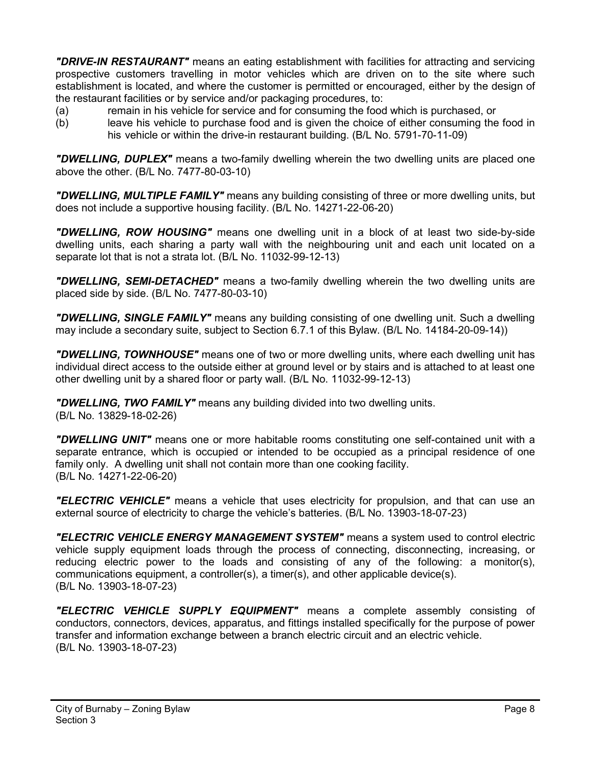*"DRIVE-IN RESTAURANT"* means an eating establishment with facilities for attracting and servicing prospective customers travelling in motor vehicles which are driven on to the site where such establishment is located, and where the customer is permitted or encouraged, either by the design of the restaurant facilities or by service and/or packaging procedures, to:

- (a) remain in his vehicle for service and for consuming the food which is purchased, or
- (b) leave his vehicle to purchase food and is given the choice of either consuming the food in his vehicle or within the drive-in restaurant building. (B/L No. 5791-70-11-09)

*"DWELLING, DUPLEX"* means a two-family dwelling wherein the two dwelling units are placed one above the other. (B/L No. 7477-80-03-10)

*"DWELLING, MULTIPLE FAMILY"* means any building consisting of three or more dwelling units, but does not include a supportive housing facility. (B/L No. 14271-22-06-20)

*"DWELLING, ROW HOUSING"* means one dwelling unit in a block of at least two side-by-side dwelling units, each sharing a party wall with the neighbouring unit and each unit located on a separate lot that is not a strata lot. (B/L No. 11032-99-12-13)

*"DWELLING, SEMI-DETACHED"* means a two-family dwelling wherein the two dwelling units are placed side by side. (B/L No. 7477-80-03-10)

*"DWELLING, SINGLE FAMILY"* means any building consisting of one dwelling unit. Such a dwelling may include a secondary suite, subject to Section 6.7.1 of this Bylaw. (B/L No. 14184-20-09-14))

*"DWELLING, TOWNHOUSE"* means one of two or more dwelling units, where each dwelling unit has individual direct access to the outside either at ground level or by stairs and is attached to at least one other dwelling unit by a shared floor or party wall. (B/L No. 11032-99-12-13)

*"DWELLING, TWO FAMILY"* means any building divided into two dwelling units. (B/L No. 13829-18-02-26)

*"DWELLING UNIT"* means one or more habitable rooms constituting one self-contained unit with a separate entrance, which is occupied or intended to be occupied as a principal residence of one family only. A dwelling unit shall not contain more than one cooking facility. (B/L No. 14271-22-06-20)

*"ELECTRIC VEHICLE"* means a vehicle that uses electricity for propulsion, and that can use an external source of electricity to charge the vehicle's batteries. (B/L No. 13903-18-07-23)

*"ELECTRIC VEHICLE ENERGY MANAGEMENT SYSTEM"* means a system used to control electric vehicle supply equipment loads through the process of connecting, disconnecting, increasing, or reducing electric power to the loads and consisting of any of the following: a monitor(s), communications equipment, a controller(s), a timer(s), and other applicable device(s). (B/L No. 13903-18-07-23)

*"ELECTRIC VEHICLE SUPPLY EQUIPMENT"* means a complete assembly consisting of conductors, connectors, devices, apparatus, and fittings installed specifically for the purpose of power transfer and information exchange between a branch electric circuit and an electric vehicle. (B/L No. 13903-18-07-23)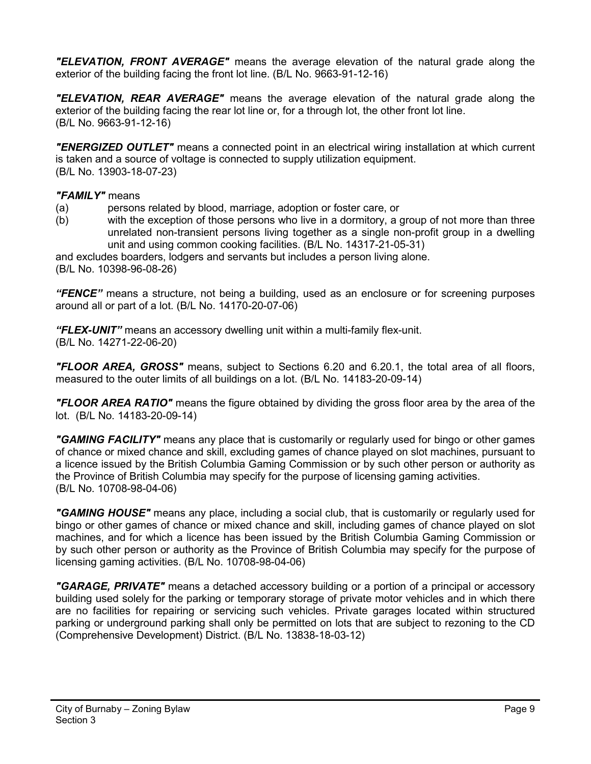*"ELEVATION, FRONT AVERAGE"* means the average elevation of the natural grade along the exterior of the building facing the front lot line. (B/L No. 9663-91-12-16)

*"ELEVATION, REAR AVERAGE"* means the average elevation of the natural grade along the exterior of the building facing the rear lot line or, for a through lot, the other front lot line. (B/L No. 9663-91-12-16)

*"ENERGIZED OUTLET"* means a connected point in an electrical wiring installation at which current is taken and a source of voltage is connected to supply utilization equipment. (B/L No. 13903-18-07-23)

### *"FAMILY"* means

- (a) persons related by blood, marriage, adoption or foster care, or
- (b) with the exception of those persons who live in a dormitory, a group of not more than three unrelated non-transient persons living together as a single non-profit group in a dwelling unit and using common cooking facilities. (B/L No. 14317-21-05-31)

and excludes boarders, lodgers and servants but includes a person living alone. (B/L No. 10398-96-08-26)

*"FENCE"* means a structure, not being a building, used as an enclosure or for screening purposes around all or part of a lot. (B/L No. 14170-20-07-06)

*"FLEX-UNIT"* means an accessory dwelling unit within a multi-family flex-unit. (B/L No. 14271-22-06-20)

*"FLOOR AREA, GROSS"* means, subject to Sections 6.20 and 6.20.1, the total area of all floors, measured to the outer limits of all buildings on a lot. (B/L No. 14183-20-09-14)

*"FLOOR AREA RATIO"* means the figure obtained by dividing the gross floor area by the area of the lot. (B/L No. 14183-20-09-14)

*"GAMING FACILITY"* means any place that is customarily or regularly used for bingo or other games of chance or mixed chance and skill, excluding games of chance played on slot machines, pursuant to a licence issued by the British Columbia Gaming Commission or by such other person or authority as the Province of British Columbia may specify for the purpose of licensing gaming activities. (B/L No. 10708-98-04-06)

*"GAMING HOUSE"* means any place, including a social club, that is customarily or regularly used for bingo or other games of chance or mixed chance and skill, including games of chance played on slot machines, and for which a licence has been issued by the British Columbia Gaming Commission or by such other person or authority as the Province of British Columbia may specify for the purpose of licensing gaming activities. (B/L No. 10708-98-04-06)

*"GARAGE, PRIVATE"* means a detached accessory building or a portion of a principal or accessory building used solely for the parking or temporary storage of private motor vehicles and in which there are no facilities for repairing or servicing such vehicles. Private garages located within structured parking or underground parking shall only be permitted on lots that are subject to rezoning to the CD (Comprehensive Development) District. (B/L No. 13838-18-03-12)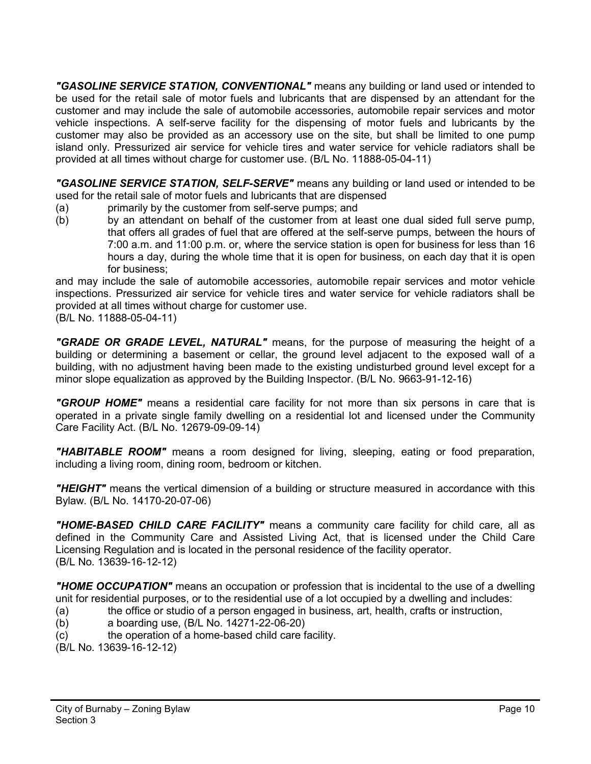*"GASOLINE SERVICE STATION, CONVENTIONAL"* means any building or land used or intended to be used for the retail sale of motor fuels and lubricants that are dispensed by an attendant for the customer and may include the sale of automobile accessories, automobile repair services and motor vehicle inspections. A self-serve facility for the dispensing of motor fuels and lubricants by the customer may also be provided as an accessory use on the site, but shall be limited to one pump island only. Pressurized air service for vehicle tires and water service for vehicle radiators shall be provided at all times without charge for customer use. (B/L No. 11888-05-04-11)

*"GASOLINE SERVICE STATION, SELF-SERVE"* means any building or land used or intended to be used for the retail sale of motor fuels and lubricants that are dispensed

- (a) primarily by the customer from self-serve pumps; and
- (b) by an attendant on behalf of the customer from at least one dual sided full serve pump, that offers all grades of fuel that are offered at the self-serve pumps, between the hours of 7:00 a.m. and 11:00 p.m. or, where the service station is open for business for less than 16 hours a day, during the whole time that it is open for business, on each day that it is open for business;

and may include the sale of automobile accessories, automobile repair services and motor vehicle inspections. Pressurized air service for vehicle tires and water service for vehicle radiators shall be provided at all times without charge for customer use.

(B/L No. 11888-05-04-11)

*"GRADE OR GRADE LEVEL, NATURAL"* means, for the purpose of measuring the height of a building or determining a basement or cellar, the ground level adjacent to the exposed wall of a building, with no adjustment having been made to the existing undisturbed ground level except for a minor slope equalization as approved by the Building Inspector. (B/L No. 9663-91-12-16)

*"GROUP HOME"* means a residential care facility for not more than six persons in care that is operated in a private single family dwelling on a residential lot and licensed under the Community Care Facility Act. (B/L No. 12679-09-09-14)

*"HABITABLE ROOM"* means a room designed for living, sleeping, eating or food preparation, including a living room, dining room, bedroom or kitchen.

*"HEIGHT"* means the vertical dimension of a building or structure measured in accordance with this Bylaw. (B/L No. 14170-20-07-06)

*"HOME-BASED CHILD CARE FACILITY"* means a community care facility for child care, all as defined in the Community Care and Assisted Living Act, that is licensed under the Child Care Licensing Regulation and is located in the personal residence of the facility operator. (B/L No. 13639-16-12-12)

*"HOME OCCUPATION"* means an occupation or profession that is incidental to the use of a dwelling unit for residential purposes, or to the residential use of a lot occupied by a dwelling and includes:

- (a) the office or studio of a person engaged in business, art, health, crafts or instruction,
- (b) a boarding use, (B/L No. 14271-22-06-20)
- (c) the operation of a home-based child care facility.
- (B/L No. 13639-16-12-12)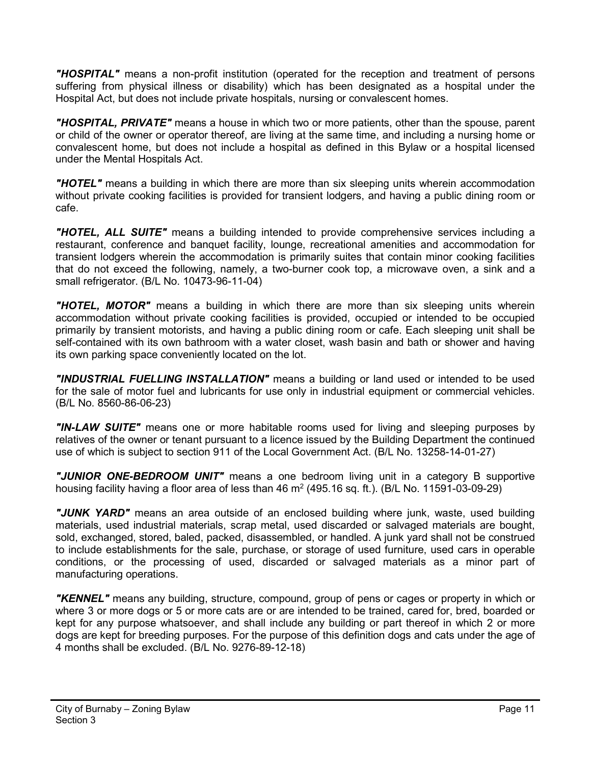*"HOSPITAL"* means a non-profit institution (operated for the reception and treatment of persons suffering from physical illness or disability) which has been designated as a hospital under the Hospital Act, but does not include private hospitals, nursing or convalescent homes.

*"HOSPITAL, PRIVATE"* means a house in which two or more patients, other than the spouse, parent or child of the owner or operator thereof, are living at the same time, and including a nursing home or convalescent home, but does not include a hospital as defined in this Bylaw or a hospital licensed under the Mental Hospitals Act.

*"HOTEL"* means a building in which there are more than six sleeping units wherein accommodation without private cooking facilities is provided for transient lodgers, and having a public dining room or cafe.

*"HOTEL, ALL SUITE"* means a building intended to provide comprehensive services including a restaurant, conference and banquet facility, lounge, recreational amenities and accommodation for transient lodgers wherein the accommodation is primarily suites that contain minor cooking facilities that do not exceed the following, namely, a two-burner cook top, a microwave oven, a sink and a small refrigerator. (B/L No. 10473-96-11-04)

*"HOTEL, MOTOR"* means a building in which there are more than six sleeping units wherein accommodation without private cooking facilities is provided, occupied or intended to be occupied primarily by transient motorists, and having a public dining room or cafe. Each sleeping unit shall be self-contained with its own bathroom with a water closet, wash basin and bath or shower and having its own parking space conveniently located on the lot.

*"INDUSTRIAL FUELLING INSTALLATION"* means a building or land used or intended to be used for the sale of motor fuel and lubricants for use only in industrial equipment or commercial vehicles. (B/L No. 8560-86-06-23)

*"IN-LAW SUITE"* means one or more habitable rooms used for living and sleeping purposes by relatives of the owner or tenant pursuant to a licence issued by the Building Department the continued use of which is subject to section 911 of the Local Government Act. (B/L No. 13258-14-01-27)

*"JUNIOR ONE-BEDROOM UNIT"* means a one bedroom living unit in a category B supportive housing facility having a floor area of less than  $46 \text{ m}^2$  (495.16 sq. ft.). (B/L No. 11591-03-09-29)

*"JUNK YARD"* means an area outside of an enclosed building where junk, waste, used building materials, used industrial materials, scrap metal, used discarded or salvaged materials are bought, sold, exchanged, stored, baled, packed, disassembled, or handled. A junk yard shall not be construed to include establishments for the sale, purchase, or storage of used furniture, used cars in operable conditions, or the processing of used, discarded or salvaged materials as a minor part of manufacturing operations.

*"KENNEL"* means any building, structure, compound, group of pens or cages or property in which or where 3 or more dogs or 5 or more cats are or are intended to be trained, cared for, bred, boarded or kept for any purpose whatsoever, and shall include any building or part thereof in which 2 or more dogs are kept for breeding purposes. For the purpose of this definition dogs and cats under the age of 4 months shall be excluded. (B/L No. 9276-89-12-18)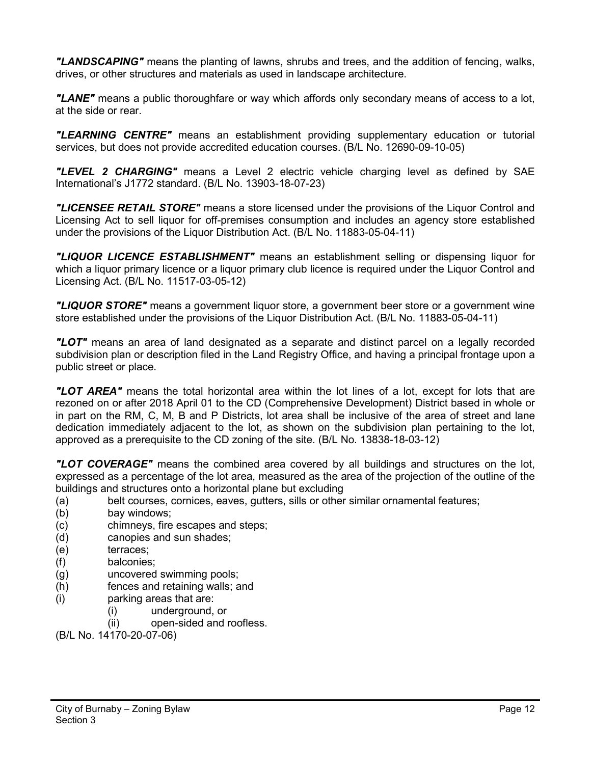*"LANDSCAPING"* means the planting of lawns, shrubs and trees, and the addition of fencing, walks, drives, or other structures and materials as used in landscape architecture.

*"LANE"* means a public thoroughfare or way which affords only secondary means of access to a lot, at the side or rear.

*"LEARNING CENTRE"* means an establishment providing supplementary education or tutorial services, but does not provide accredited education courses. (B/L No. 12690-09-10-05)

*"LEVEL 2 CHARGING"* means a Level 2 electric vehicle charging level as defined by SAE International's J1772 standard. (B/L No. 13903-18-07-23)

*"LICENSEE RETAIL STORE"* means a store licensed under the provisions of the Liquor Control and Licensing Act to sell liquor for off-premises consumption and includes an agency store established under the provisions of the Liquor Distribution Act. (B/L No. 11883-05-04-11)

*"LIQUOR LICENCE ESTABLISHMENT"* means an establishment selling or dispensing liquor for which a liquor primary licence or a liquor primary club licence is required under the Liquor Control and Licensing Act. (B/L No. 11517-03-05-12)

*"LIQUOR STORE"* means a government liquor store, a government beer store or a government wine store established under the provisions of the Liquor Distribution Act. (B/L No. 11883-05-04-11)

*"LOT"* means an area of land designated as a separate and distinct parcel on a legally recorded subdivision plan or description filed in the Land Registry Office, and having a principal frontage upon a public street or place.

*"LOT AREA"* means the total horizontal area within the lot lines of a lot, except for lots that are rezoned on or after 2018 April 01 to the CD (Comprehensive Development) District based in whole or in part on the RM, C, M, B and P Districts, lot area shall be inclusive of the area of street and lane dedication immediately adjacent to the lot, as shown on the subdivision plan pertaining to the lot, approved as a prerequisite to the CD zoning of the site. (B/L No. 13838-18-03-12)

*"LOT COVERAGE"* means the combined area covered by all buildings and structures on the lot, expressed as a percentage of the lot area, measured as the area of the projection of the outline of the buildings and structures onto a horizontal plane but excluding

- (a) belt courses, cornices, eaves, gutters, sills or other similar ornamental features;
- (b) bay windows;
- (c) chimneys, fire escapes and steps;
- (d) canopies and sun shades;
- (e) terraces;
- (f) balconies;
- (g) uncovered swimming pools;
- (h) fences and retaining walls; and
- (i) parking areas that are:
	- (i) underground, or
	- (ii) open-sided and roofless.

(B/L No. 14170-20-07-06)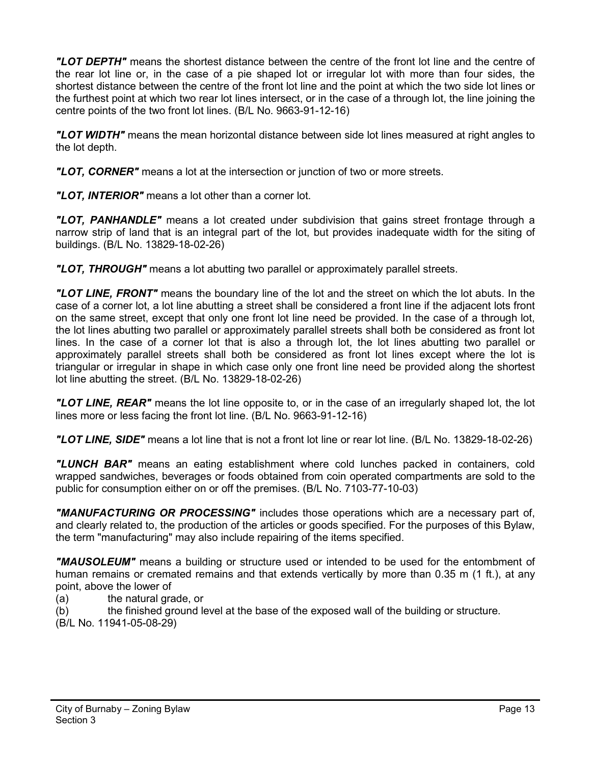*"LOT DEPTH"* means the shortest distance between the centre of the front lot line and the centre of the rear lot line or, in the case of a pie shaped lot or irregular lot with more than four sides, the shortest distance between the centre of the front lot line and the point at which the two side lot lines or the furthest point at which two rear lot lines intersect, or in the case of a through lot, the line joining the centre points of the two front lot lines. (B/L No. 9663-91-12-16)

*"LOT WIDTH"* means the mean horizontal distance between side lot lines measured at right angles to the lot depth.

*"LOT, CORNER"* means a lot at the intersection or junction of two or more streets.

*"LOT, INTERIOR"* means a lot other than a corner lot.

*"LOT, PANHANDLE"* means a lot created under subdivision that gains street frontage through a narrow strip of land that is an integral part of the lot, but provides inadequate width for the siting of buildings. (B/L No. 13829-18-02-26)

*"LOT, THROUGH"* means a lot abutting two parallel or approximately parallel streets.

*"LOT LINE, FRONT"* means the boundary line of the lot and the street on which the lot abuts. In the case of a corner lot, a lot line abutting a street shall be considered a front line if the adjacent lots front on the same street, except that only one front lot line need be provided. In the case of a through lot, the lot lines abutting two parallel or approximately parallel streets shall both be considered as front lot lines. In the case of a corner lot that is also a through lot, the lot lines abutting two parallel or approximately parallel streets shall both be considered as front lot lines except where the lot is triangular or irregular in shape in which case only one front line need be provided along the shortest lot line abutting the street. (B/L No. 13829-18-02-26)

*"LOT LINE, REAR"* means the lot line opposite to, or in the case of an irregularly shaped lot, the lot lines more or less facing the front lot line. (B/L No. 9663-91-12-16)

*"LOT LINE, SIDE"* means a lot line that is not a front lot line or rear lot line. (B/L No. 13829-18-02-26)

*"LUNCH BAR"* means an eating establishment where cold lunches packed in containers, cold wrapped sandwiches, beverages or foods obtained from coin operated compartments are sold to the public for consumption either on or off the premises. (B/L No. 7103-77-10-03)

*"MANUFACTURING OR PROCESSING"* includes those operations which are a necessary part of, and clearly related to, the production of the articles or goods specified. For the purposes of this Bylaw, the term "manufacturing" may also include repairing of the items specified.

*"MAUSOLEUM"* means a building or structure used or intended to be used for the entombment of human remains or cremated remains and that extends vertically by more than 0.35 m (1 ft.), at any point, above the lower of

(a) the natural grade, or

(b) the finished ground level at the base of the exposed wall of the building or structure. (B/L No. 11941-05-08-29)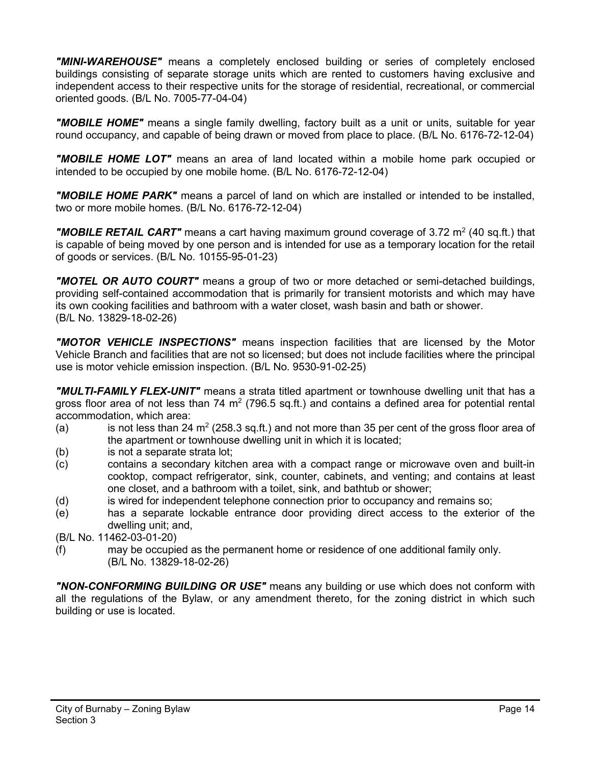*"MINI-WAREHOUSE"* means a completely enclosed building or series of completely enclosed buildings consisting of separate storage units which are rented to customers having exclusive and independent access to their respective units for the storage of residential, recreational, or commercial oriented goods. (B/L No. 7005-77-04-04)

"**MOBILE HOME**" means a single family dwelling, factory built as a unit or units, suitable for year round occupancy, and capable of being drawn or moved from place to place. (B/L No. 6176-72-12-04)

*"MOBILE HOME LOT"* means an area of land located within a mobile home park occupied or intended to be occupied by one mobile home. (B/L No. 6176-72-12-04)

*"MOBILE HOME PARK"* means a parcel of land on which are installed or intended to be installed, two or more mobile homes. (B/L No. 6176-72-12-04)

**"MOBILE RETAIL CART"** means a cart having maximum ground coverage of 3.72 m<sup>2</sup> (40 sq.ft.) that is capable of being moved by one person and is intended for use as a temporary location for the retail of goods or services. (B/L No. 10155-95-01-23)

*"MOTEL OR AUTO COURT"* means a group of two or more detached or semi-detached buildings, providing self-contained accommodation that is primarily for transient motorists and which may have its own cooking facilities and bathroom with a water closet, wash basin and bath or shower. (B/L No. 13829-18-02-26)

*"MOTOR VEHICLE INSPECTIONS"* means inspection facilities that are licensed by the Motor Vehicle Branch and facilities that are not so licensed; but does not include facilities where the principal use is motor vehicle emission inspection. (B/L No. 9530-91-02-25)

*"MULTI-FAMILY FLEX-UNIT"* means a strata titled apartment or townhouse dwelling unit that has a gross floor area of not less than 74  $m<sup>2</sup>$  (796.5 sq.ft.) and contains a defined area for potential rental accommodation, which area:

- (a) is not less than 24  $m^2$  (258.3 sq.ft.) and not more than 35 per cent of the gross floor area of the apartment or townhouse dwelling unit in which it is located;
- (b) is not a separate strata lot;
- (c) contains a secondary kitchen area with a compact range or microwave oven and built-in cooktop, compact refrigerator, sink, counter, cabinets, and venting; and contains at least one closet, and a bathroom with a toilet, sink, and bathtub or shower;
- (d) is wired for independent telephone connection prior to occupancy and remains so;
- (e) has a separate lockable entrance door providing direct access to the exterior of the dwelling unit; and,

(B/L No. 11462-03-01-20)

(f) may be occupied as the permanent home or residence of one additional family only. (B/L No. 13829-18-02-26)

*"NON-CONFORMING BUILDING OR USE"* means any building or use which does not conform with all the regulations of the Bylaw, or any amendment thereto, for the zoning district in which such building or use is located.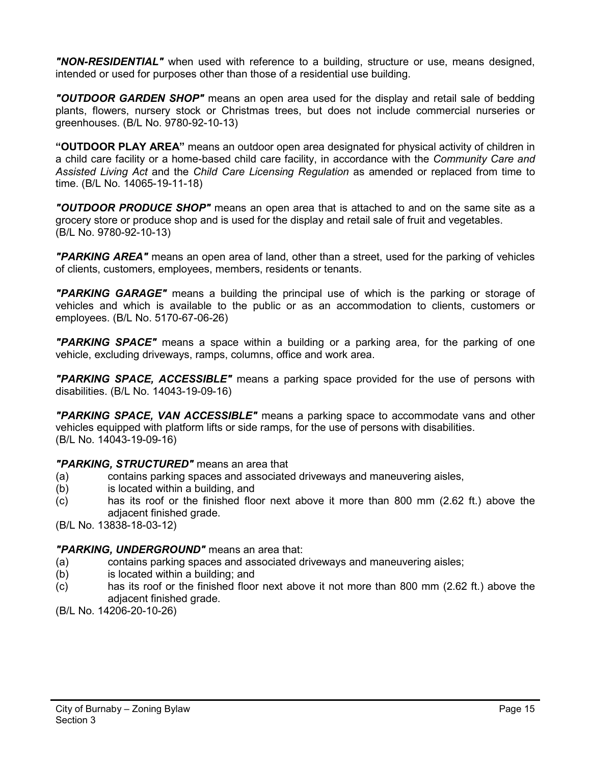*"NON-RESIDENTIAL"* when used with reference to a building, structure or use, means designed, intended or used for purposes other than those of a residential use building.

*"OUTDOOR GARDEN SHOP"* means an open area used for the display and retail sale of bedding plants, flowers, nursery stock or Christmas trees, but does not include commercial nurseries or greenhouses. (B/L No. 9780-92-10-13)

**"OUTDOOR PLAY AREA"** means an outdoor open area designated for physical activity of children in a child care facility or a home-based child care facility, in accordance with the *Community Care and Assisted Living Act* and the *Child Care Licensing Regulation* as amended or replaced from time to time. (B/L No. 14065-19-11-18)

*"OUTDOOR PRODUCE SHOP"* means an open area that is attached to and on the same site as a grocery store or produce shop and is used for the display and retail sale of fruit and vegetables. (B/L No. 9780-92-10-13)

*"PARKING AREA"* means an open area of land, other than a street, used for the parking of vehicles of clients, customers, employees, members, residents or tenants.

*"PARKING GARAGE"* means a building the principal use of which is the parking or storage of vehicles and which is available to the public or as an accommodation to clients, customers or employees. (B/L No. 5170-67-06-26)

*"PARKING SPACE"* means a space within a building or a parking area, for the parking of one vehicle, excluding driveways, ramps, columns, office and work area.

*"PARKING SPACE, ACCESSIBLE"* means a parking space provided for the use of persons with disabilities. (B/L No. 14043-19-09-16)

*"PARKING SPACE, VAN ACCESSIBLE"* means a parking space to accommodate vans and other vehicles equipped with platform lifts or side ramps, for the use of persons with disabilities. (B/L No. 14043-19-09-16)

### *"PARKING, STRUCTURED"* means an area that

- (a) contains parking spaces and associated driveways and maneuvering aisles,
- (b) is located within a building, and
- (c) has its roof or the finished floor next above it more than 800 mm (2.62 ft.) above the adjacent finished grade.

(B/L No. 13838-18-03-12)

### *"PARKING, UNDERGROUND"* means an area that:

- (a) contains parking spaces and associated driveways and maneuvering aisles;
- (b) is located within a building; and
- (c) has its roof or the finished floor next above it not more than 800 mm (2.62 ft.) above the adjacent finished grade.
- (B/L No. 14206-20-10-26)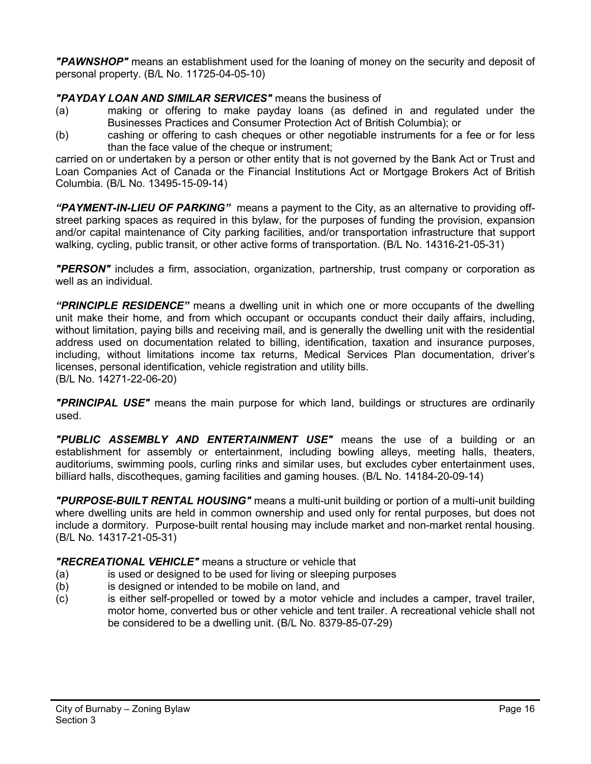*"PAWNSHOP"* means an establishment used for the loaning of money on the security and deposit of personal property. (B/L No. 11725-04-05-10)

# *"PAYDAY LOAN AND SIMILAR SERVICES"* means the business of

- (a) making or offering to make payday loans (as defined in and regulated under the Businesses Practices and Consumer Protection Act of British Columbia); or
- (b) cashing or offering to cash cheques or other negotiable instruments for a fee or for less than the face value of the cheque or instrument;

carried on or undertaken by a person or other entity that is not governed by the Bank Act or Trust and Loan Companies Act of Canada or the Financial Institutions Act or Mortgage Brokers Act of British Columbia. (B/L No. 13495-15-09-14)

*"PAYMENT-IN-LIEU OF PARKING"* means a payment to the City, as an alternative to providing offstreet parking spaces as required in this bylaw, for the purposes of funding the provision, expansion and/or capital maintenance of City parking facilities, and/or transportation infrastructure that support walking, cycling, public transit, or other active forms of transportation. (B/L No. 14316-21-05-31)

*"PERSON"* includes a firm, association, organization, partnership, trust company or corporation as well as an individual.

*"PRINCIPLE RESIDENCE"* means a dwelling unit in which one or more occupants of the dwelling unit make their home, and from which occupant or occupants conduct their daily affairs, including, without limitation, paying bills and receiving mail, and is generally the dwelling unit with the residential address used on documentation related to billing, identification, taxation and insurance purposes, including, without limitations income tax returns, Medical Services Plan documentation, driver's licenses, personal identification, vehicle registration and utility bills. (B/L No. 14271-22-06-20)

*"PRINCIPAL USE"* means the main purpose for which land, buildings or structures are ordinarily used.

*"PUBLIC ASSEMBLY AND ENTERTAINMENT USE"* means the use of a building or an establishment for assembly or entertainment, including bowling alleys, meeting halls, theaters, auditoriums, swimming pools, curling rinks and similar uses, but excludes cyber entertainment uses, billiard halls, discotheques, gaming facilities and gaming houses. (B/L No. 14184-20-09-14)

*"PURPOSE-BUILT RENTAL HOUSING"* means a multi-unit building or portion of a multi-unit building where dwelling units are held in common ownership and used only for rental purposes, but does not include a dormitory. Purpose-built rental housing may include market and non-market rental housing. (B/L No. 14317-21-05-31)

# *"RECREATIONAL VEHICLE"* means a structure or vehicle that

- (a) is used or designed to be used for living or sleeping purposes
- (b) is designed or intended to be mobile on land, and
- (c) is either self-propelled or towed by a motor vehicle and includes a camper, travel trailer, motor home, converted bus or other vehicle and tent trailer. A recreational vehicle shall not be considered to be a dwelling unit. (B/L No. 8379-85-07-29)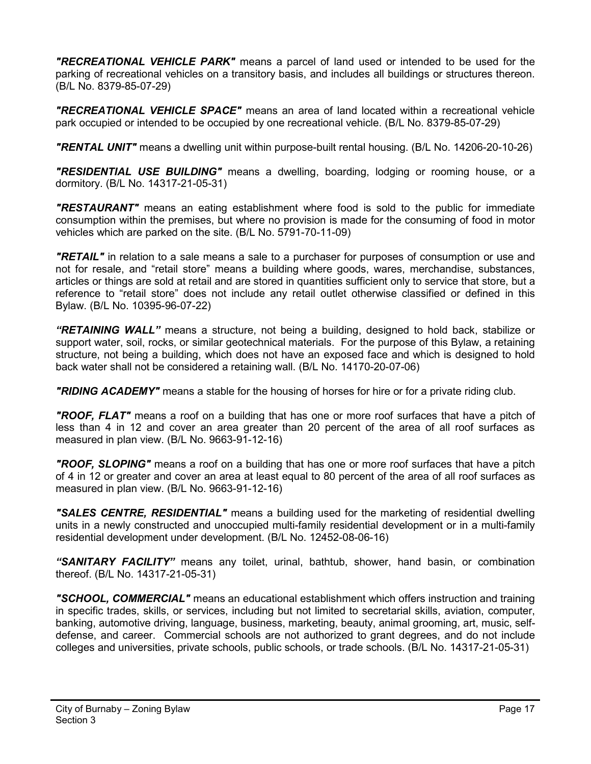*"RECREATIONAL VEHICLE PARK"* means a parcel of land used or intended to be used for the parking of recreational vehicles on a transitory basis, and includes all buildings or structures thereon. (B/L No. 8379-85-07-29)

*"RECREATIONAL VEHICLE SPACE"* means an area of land located within a recreational vehicle park occupied or intended to be occupied by one recreational vehicle. (B/L No. 8379-85-07-29)

*"RENTAL UNIT"* means a dwelling unit within purpose-built rental housing. (B/L No. 14206-20-10-26)

*"RESIDENTIAL USE BUILDING"* means a dwelling, boarding, lodging or rooming house, or a dormitory. (B/L No. 14317-21-05-31)

*"RESTAURANT"* means an eating establishment where food is sold to the public for immediate consumption within the premises, but where no provision is made for the consuming of food in motor vehicles which are parked on the site. (B/L No. 5791-70-11-09)

*"RETAIL"* in relation to a sale means a sale to a purchaser for purposes of consumption or use and not for resale, and "retail store" means a building where goods, wares, merchandise, substances, articles or things are sold at retail and are stored in quantities sufficient only to service that store, but a reference to "retail store" does not include any retail outlet otherwise classified or defined in this Bylaw. (B/L No. 10395-96-07-22)

*"RETAINING WALL"* means a structure, not being a building, designed to hold back, stabilize or support water, soil, rocks, or similar geotechnical materials. For the purpose of this Bylaw, a retaining structure, not being a building, which does not have an exposed face and which is designed to hold back water shall not be considered a retaining wall. (B/L No. 14170-20-07-06)

*"RIDING ACADEMY"* means a stable for the housing of horses for hire or for a private riding club.

*"ROOF, FLAT"* means a roof on a building that has one or more roof surfaces that have a pitch of less than 4 in 12 and cover an area greater than 20 percent of the area of all roof surfaces as measured in plan view. (B/L No. 9663-91-12-16)

*"ROOF, SLOPING"* means a roof on a building that has one or more roof surfaces that have a pitch of 4 in 12 or greater and cover an area at least equal to 80 percent of the area of all roof surfaces as measured in plan view. (B/L No. 9663-91-12-16)

*"SALES CENTRE, RESIDENTIAL"* means a building used for the marketing of residential dwelling units in a newly constructed and unoccupied multi-family residential development or in a multi-family residential development under development. (B/L No. 12452-08-06-16)

*"SANITARY FACILITY"* means any toilet, urinal, bathtub, shower, hand basin, or combination thereof. (B/L No. 14317-21-05-31)

*"SCHOOL, COMMERCIAL"* means an educational establishment which offers instruction and training in specific trades, skills, or services, including but not limited to secretarial skills, aviation, computer, banking, automotive driving, language, business, marketing, beauty, animal grooming, art, music, selfdefense, and career. Commercial schools are not authorized to grant degrees, and do not include colleges and universities, private schools, public schools, or trade schools. (B/L No. 14317-21-05-31)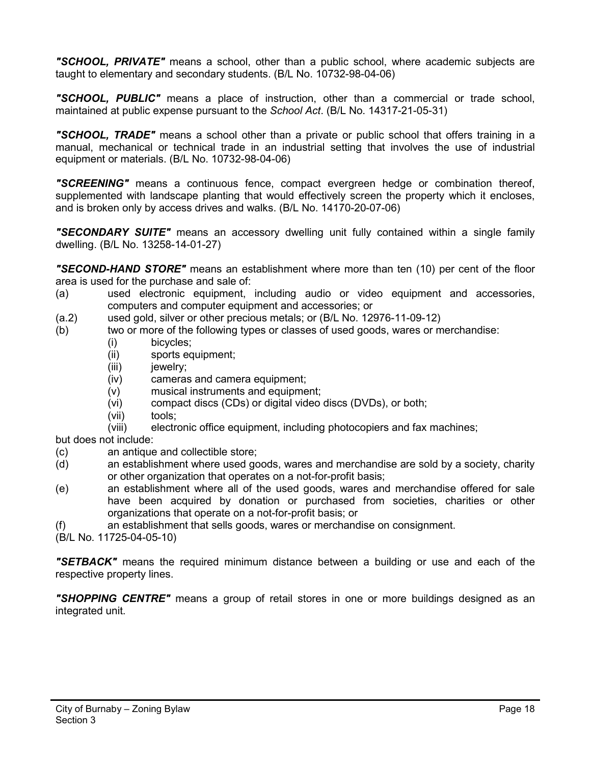*"SCHOOL, PRIVATE"* means a school, other than a public school, where academic subjects are taught to elementary and secondary students. (B/L No. 10732-98-04-06)

*"SCHOOL, PUBLIC"* means a place of instruction, other than a commercial or trade school, maintained at public expense pursuant to the *School Act*. (B/L No. 14317-21-05-31)

*"SCHOOL, TRADE"* means a school other than a private or public school that offers training in a manual, mechanical or technical trade in an industrial setting that involves the use of industrial equipment or materials. (B/L No. 10732-98-04-06)

*"SCREENING"* means a continuous fence, compact evergreen hedge or combination thereof, supplemented with landscape planting that would effectively screen the property which it encloses, and is broken only by access drives and walks. (B/L No. 14170-20-07-06)

*"SECONDARY SUITE"* means an accessory dwelling unit fully contained within a single family dwelling. (B/L No. 13258-14-01-27)

*"SECOND-HAND STORE"* means an establishment where more than ten (10) per cent of the floor area is used for the purchase and sale of:

- (a) used electronic equipment, including audio or video equipment and accessories, computers and computer equipment and accessories; or
- (a.2) used gold, silver or other precious metals; or  $(B/L$  No. 12976-11-09-12) <br>(b) two or more of the following types or classes of used goods, wares or m
- two or more of the following types or classes of used goods, wares or merchandise:
	- (i) bicycles;
	- (ii) sports equipment;
	- (iii) jewelry;
	- (iv) cameras and camera equipment;
	- (v) musical instruments and equipment;
	- (vi) compact discs (CDs) or digital video discs (DVDs), or both;
	- (vii) tools;
	- (viii) electronic office equipment, including photocopiers and fax machines;
- but does not include:
- (c) an antique and collectible store;
- (d) an establishment where used goods, wares and merchandise are sold by a society, charity or other organization that operates on a not-for-profit basis;
- (e) an establishment where all of the used goods, wares and merchandise offered for sale have been acquired by donation or purchased from societies, charities or other organizations that operate on a not-for-profit basis; or
- (f) an establishment that sells goods, wares or merchandise on consignment.
- (B/L No. 11725-04-05-10)

*"SETBACK"* means the required minimum distance between a building or use and each of the respective property lines.

*"SHOPPING CENTRE"* means a group of retail stores in one or more buildings designed as an integrated unit.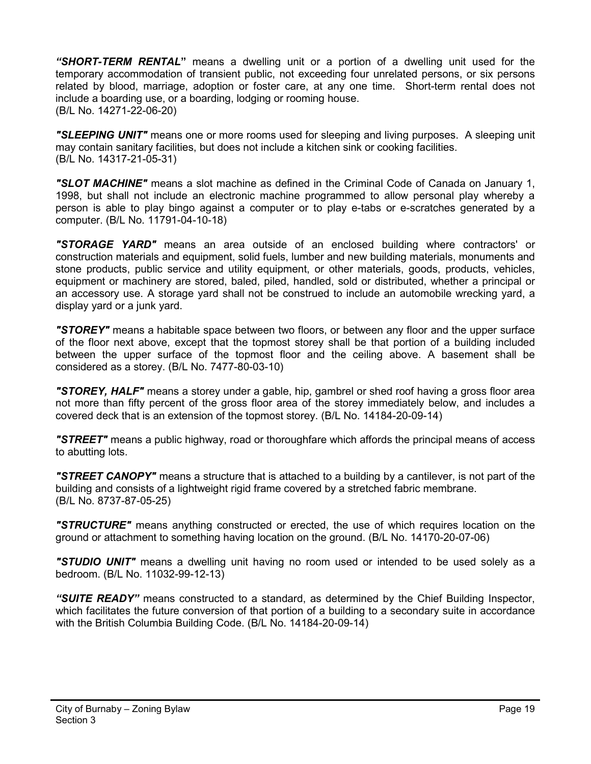*"SHORT-TERM RENTAL***"** means a dwelling unit or a portion of a dwelling unit used for the temporary accommodation of transient public, not exceeding four unrelated persons, or six persons related by blood, marriage, adoption or foster care, at any one time. Short-term rental does not include a boarding use, or a boarding, lodging or rooming house. (B/L No. 14271-22-06-20)

*"SLEEPING UNIT"* means one or more rooms used for sleeping and living purposes. A sleeping unit may contain sanitary facilities, but does not include a kitchen sink or cooking facilities. (B/L No. 14317-21-05-31)

*"SLOT MACHINE"* means a slot machine as defined in the Criminal Code of Canada on January 1, 1998, but shall not include an electronic machine programmed to allow personal play whereby a person is able to play bingo against a computer or to play e-tabs or e-scratches generated by a computer. (B/L No. 11791-04-10-18)

*"STORAGE YARD"* means an area outside of an enclosed building where contractors' or construction materials and equipment, solid fuels, lumber and new building materials, monuments and stone products, public service and utility equipment, or other materials, goods, products, vehicles, equipment or machinery are stored, baled, piled, handled, sold or distributed, whether a principal or an accessory use. A storage yard shall not be construed to include an automobile wrecking yard, a display yard or a junk yard.

*"STOREY"* means a habitable space between two floors, or between any floor and the upper surface of the floor next above, except that the topmost storey shall be that portion of a building included between the upper surface of the topmost floor and the ceiling above. A basement shall be considered as a storey. (B/L No. 7477-80-03-10)

*"STOREY, HALF"* means a storey under a gable, hip, gambrel or shed roof having a gross floor area not more than fifty percent of the gross floor area of the storey immediately below, and includes a covered deck that is an extension of the topmost storey. (B/L No. 14184-20-09-14)

*"STREET"* means a public highway, road or thoroughfare which affords the principal means of access to abutting lots.

*"STREET CANOPY"* means a structure that is attached to a building by a cantilever, is not part of the building and consists of a lightweight rigid frame covered by a stretched fabric membrane. (B/L No. 8737-87-05-25)

*"STRUCTURE"* means anything constructed or erected, the use of which requires location on the ground or attachment to something having location on the ground. (B/L No. 14170-20-07-06)

*"STUDIO UNIT"* means a dwelling unit having no room used or intended to be used solely as a bedroom. (B/L No. 11032-99-12-13)

*"SUITE READY"* means constructed to a standard, as determined by the Chief Building Inspector, which facilitates the future conversion of that portion of a building to a secondary suite in accordance with the British Columbia Building Code. (B/L No. 14184-20-09-14)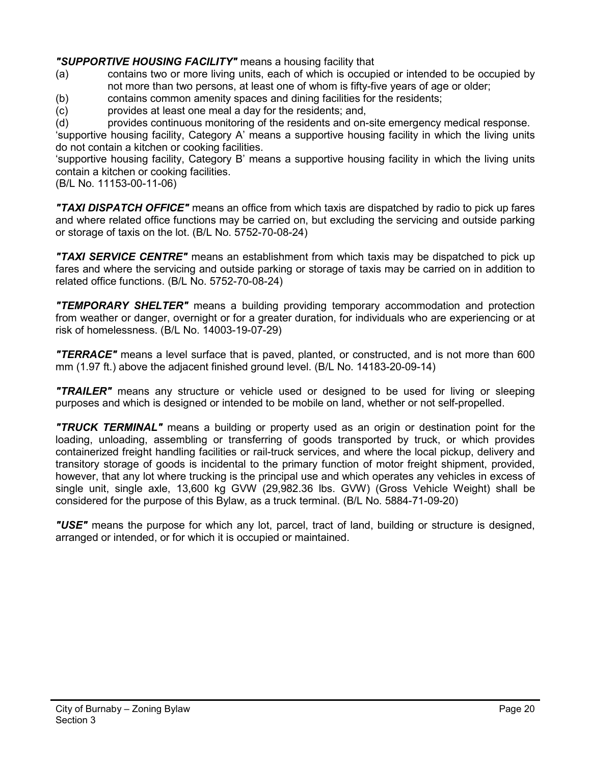# *"SUPPORTIVE HOUSING FACILITY"* means a housing facility that

- (a) contains two or more living units, each of which is occupied or intended to be occupied by not more than two persons, at least one of whom is fifty-five years of age or older;
- (b) contains common amenity spaces and dining facilities for the residents;
- (c) provides at least one meal a day for the residents; and,
- (d) provides continuous monitoring of the residents and on-site emergency medical response.

'supportive housing facility, Category A' means a supportive housing facility in which the living units do not contain a kitchen or cooking facilities.

'supportive housing facility, Category B' means a supportive housing facility in which the living units contain a kitchen or cooking facilities.

(B/L No. 11153-00-11-06)

*"TAXI DISPATCH OFFICE"* means an office from which taxis are dispatched by radio to pick up fares and where related office functions may be carried on, but excluding the servicing and outside parking or storage of taxis on the lot. (B/L No. 5752-70-08-24)

*"TAXI SERVICE CENTRE"* means an establishment from which taxis may be dispatched to pick up fares and where the servicing and outside parking or storage of taxis may be carried on in addition to related office functions. (B/L No. 5752-70-08-24)

*"TEMPORARY SHELTER"* means a building providing temporary accommodation and protection from weather or danger, overnight or for a greater duration, for individuals who are experiencing or at risk of homelessness. (B/L No. 14003-19-07-29)

*"TERRACE"* means a level surface that is paved, planted, or constructed, and is not more than 600 mm (1.97 ft.) above the adjacent finished ground level. (B/L No. 14183-20-09-14)

*"TRAILER"* means any structure or vehicle used or designed to be used for living or sleeping purposes and which is designed or intended to be mobile on land, whether or not self-propelled.

*"TRUCK TERMINAL"* means a building or property used as an origin or destination point for the loading, unloading, assembling or transferring of goods transported by truck, or which provides containerized freight handling facilities or rail-truck services, and where the local pickup, delivery and transitory storage of goods is incidental to the primary function of motor freight shipment, provided, however, that any lot where trucking is the principal use and which operates any vehicles in excess of single unit, single axle, 13,600 kg GVW (29,982.36 lbs. GVW) (Gross Vehicle Weight) shall be considered for the purpose of this Bylaw, as a truck terminal. (B/L No. 5884-71-09-20)

*"USE"* means the purpose for which any lot, parcel, tract of land, building or structure is designed, arranged or intended, or for which it is occupied or maintained.